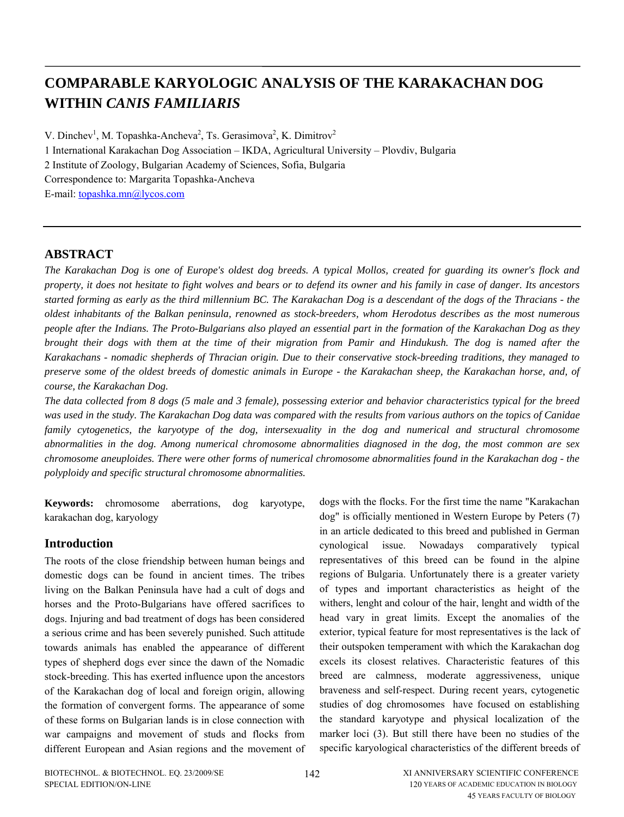# **COMPARABLE KARYOLOGIC ANALYSIS OF THE KARAKACHAN DOG WITHIN** *CANIS FAMILIARIS*

V. Dinchev<sup>1</sup>, M. Topashka-Ancheva<sup>2</sup>, Ts. Gerasimova<sup>2</sup>, K. Dimitrov<sup>2</sup> 1 International Karakachan Dog Association – IKDA, Agricultural University – Plovdiv, Bulgaria 2 Institute of Zoology, Bulgarian Academy of Sciences, Sofia, Bulgaria Correspondence to: Margarita Topashka-Ancheva E-mail: [topashka.mn@lycos.com](mailto:topashka.mn@lycos.com)

### **ABSTRACT**

*The Karakachan Dog is one of Europe's oldest dog breeds. A typical Mollos, created for guarding its owner's flock and property, it does not hesitate to fight wolves and bears or to defend its owner and his family in case of danger. Its ancestors started forming as early as the third millennium BC. The Karakachan Dog is a descendant of the dogs of the Thracians - the oldest inhabitants of the Balkan peninsula, renowned as stock-breeders, whom Herodotus describes as the most numerous people after the Indians. The Proto-Bulgarians also played an essential part in the formation of the Karakachan Dog as they brought their dogs with them at the time of their migration from Pamir and Hindukush. The dog is named after the [Karakachans](http://en.wikipedia.org/wiki/Karakachans) - nomadic shepherds of Thracian origin. Due to their conservative stock-breeding traditions, they managed to preserve some of the oldest breeds of domestic animals in Europe - the Karakachan sheep, the Karakachan horse, and, of course, the Karakachan Dog.* 

*The data collected from 8 dogs (5 male and 3 female), possessing exterior and behavior characteristics typical for the breed was used in the study. The Karakachan Dog data was compared with the results from various authors on the topics of Canidae*  family cytogenetics, the karyotype of the dog, intersexuality in the dog and numerical and structural chromosome *abnormalities in the dog. Among numerical chromosome abnormalities diagnosed in the dog, the most common are sex chromosome aneuploides. There were other forms of numerical chromosome abnormalities found in the Karakachan dog - the polyploidy and specific structural chromosome abnormalities.* 

**Keywords:** chromosome aberrations, dog karyotype, karakachan dog, karyology

### **Introduction**

The roots of the close friendship between human beings and domestic dogs can be found in ancient times. The tribes living on the Balkan Peninsula have had a cult of dogs and horses and the Proto-Bulgarians have offered sacrifices to dogs. Injuring and bad treatment of dogs has been considered a serious crime and has been severely punished. Such attitude towards animals has enabled the appearance of different types of shepherd dogs ever since the dawn of the Nomadic stock-breeding. This has exerted influence upon the ancestors of the Karakachan dog of local and foreign origin, allowing the formation of convergent forms. The appearance of some of these forms on Bulgarian lands is in close connection with war campaigns and movement of studs and flocks from different European and Asian regions and the movement of

dogs with the flocks. For the first time the name "Karakachan dog" is officially mentioned in Western Europe by Peters (7) in an article dedicated to this breed and published in German cynological issue. Nowadays comparatively typical representatives of this breed can be found in the alpine regions of Bulgaria. Unfortunately there is a greater variety of types and important characteristics as height of the withers, lenght and colour of the hair, lenght and width of the head vary in great limits. Except the anomalies of the exterior, typical feature for most representatives is the lack of their outspoken temperament with which the Karakachan dog excels its closest relatives. Characteristic features of this breed are calmness, moderate aggressiveness, unique braveness and self-respect. During recent years, cytogenetic studies of dog chromosomes have focused on establishing the standard karyotype and physical localization of the marker loci (3). But still there have been no studies of the specific karyological characteristics of the different breeds of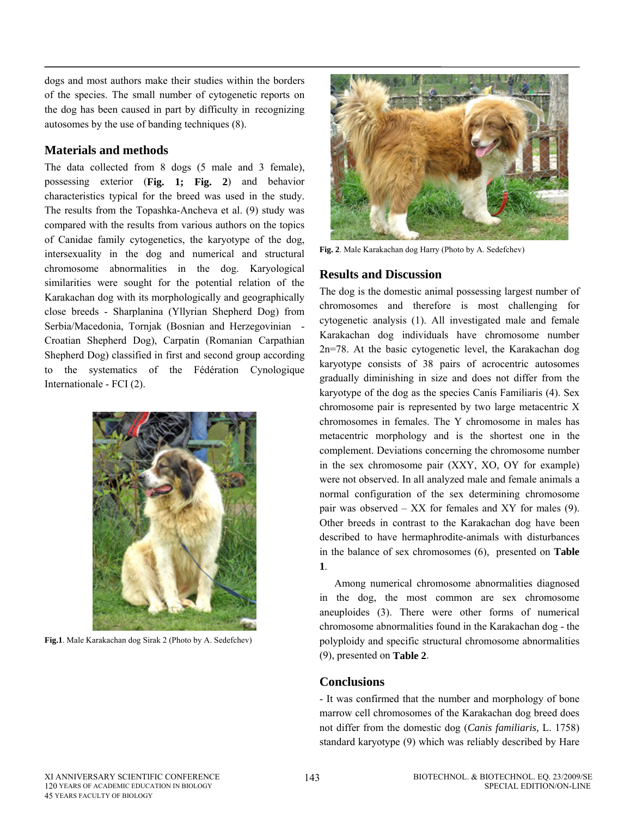dogs and most authors make their studies within the borders of the species. The small number of cytogenetic reports on the dog has been caused in part by difficulty in recognizing autosomes by the use of banding techniques (8).

## **Materials and methods**

The data collected from 8 dogs (5 male and 3 female), possessing exterior (**Fig. 1; Fig. 2**) and behavior characteristics typical for the breed was used in the study. The results from the Topashka-Ancheva et al. (9) study was compared with the results from various authors on the topics of Canidae family cytogenetics, the karyotype of the dog, intersexuality in the dog and numerical and structural chromosome abnormalities in the dog. Karyological similarities were sought for the potential relation of the Karakachan dog with its morphologically and geographically close breeds - Sharplanina (Yllyrian Shepherd Dog) from Serbia/Macedonia, Tornjak (Bosnian and Herzegovinian - Croatian Shepherd Dog), Carpatin (Romanian Carpathian Shepherd Dog) classified in first and second group according to the systematics of the Fédération Cynologique Internationale - FCI (2).



**Fig.1**. Male Karakachan dog Sirak 2 (Photo by A. Sedefchev)



**Fig. 2**. Male Karakachan dog Harry (Photo by A. Sedefchev)

## **Results and Discussion**

The dog is the domestic animal possessing largest number of chromosomes and therefore is most challenging for cytogenetic analysis (1). All investigated male and female Karakachan dog individuals have chromosome number 2n=78. At the basic cytogenetic level, the Karakachan dog karyotype consists of 38 pairs of acrocentric autosomes gradually diminishing in size and does not differ from the karyotype of the dog as the species Canis Familiaris (4). Sex chromosome pair is represented by two large metacentric X chromosomes in females. The Y chromosome in males has metacentric morphology and is the shortest one in the complement. Deviations concerning the chromosome number in the sex chromosome pair (XXY, XO, OY for example) were not observed. In all analyzed male and female animals a normal configuration of the sex determining chromosome pair was observed – XX for females and XY for males (9). Other breeds in contrast to the Karakachan dog have been described to have hermaphrodite-animals with disturbances in the balance of sex chromosomes (6), presented on **Table 1**.

Among numerical chromosome abnormalities diagnosed in the dog, the most common are sex chromosome aneuploides (3). There were other forms of numerical chromosome abnormalities found in the Karakachan dog - the polyploidy and specific structural chromosome abnormalities (9), presented on **Table 2**.

## **Conclusions**

- It was confirmed that the number and morphology of bone marrow cell chromosomes of the Karakachan dog breed does not differ from the domestic dog (*Canis familiaris,* L. 1758) standard karyotype (9) which was reliably described by Hare